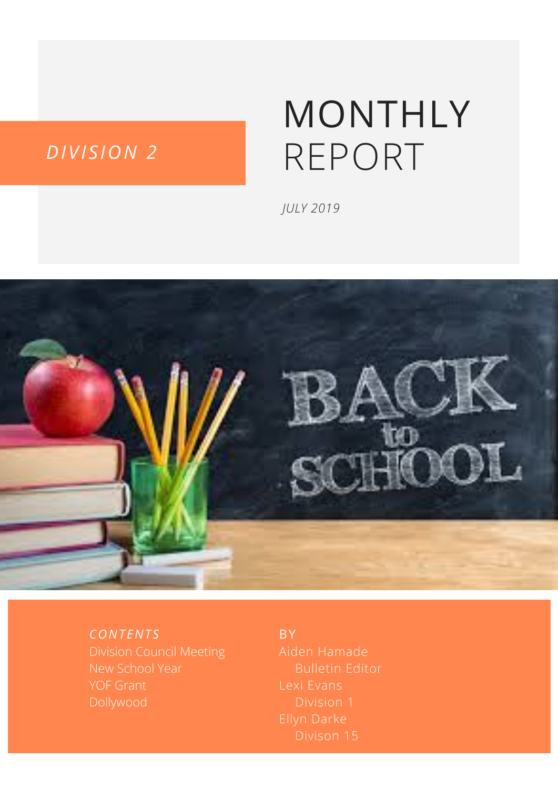#### *DIVI S ION 2*

# MONTHLY REPORT

*JULY 2019*



*CONT ENT S*

Division Council Meeting New School Year

**BY** 

Aiden Hamade Lexi Evans Division 1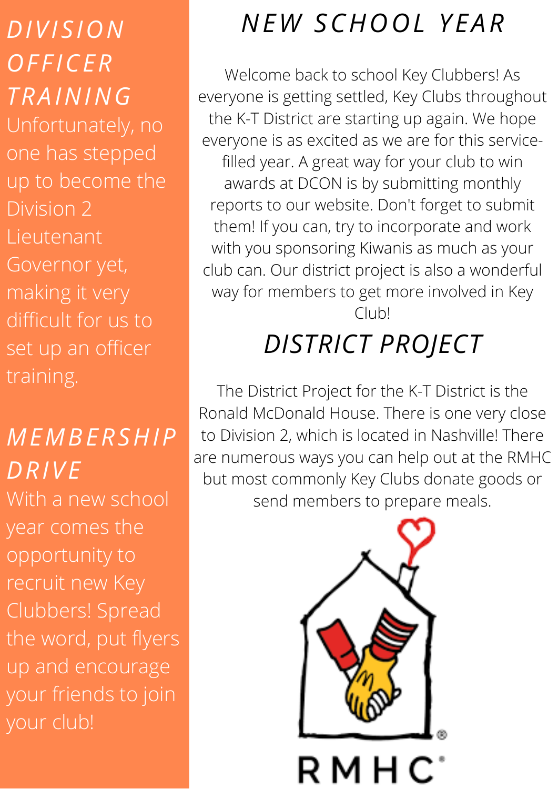*DIVI S ION OF F ICER TRAINING* Unfortunately, no one has stepped up to become the Division 2 Lieutenant Governor yet, making it very difficult for us to set up an officer training.

#### *MEMBERSHIP DRIVE*

With a new school year comes the opportunity to recruit new Key Clubbers! Spread the word, put flyers up and encourage your friends to join your club!

#### *NEW SCHOOL Y EAR*

Welcome back to school Key Clubbers! As everyone is getting settled, Key Clubs throughout the K-T District are starting up again. We hope everyone is as excited as we are for this servicefilled year. A great way for your club to win awards at DCON is by submitting monthly reports to our website. Don't forget to submit them! If you can, try to incorporate and work with you sponsoring Kiwanis as much as your club can. Our district project is also a wonderful way for members to get more involved in Key Club!

#### *DISTRICT PROJECT*

The District Project for the K-T District is the Ronald McDonald House. There is one very close to Division 2, which is located in Nashville! There are numerous ways you can help out at the RMHC but most commonly Key Clubs donate goods or send members to prepare meals.

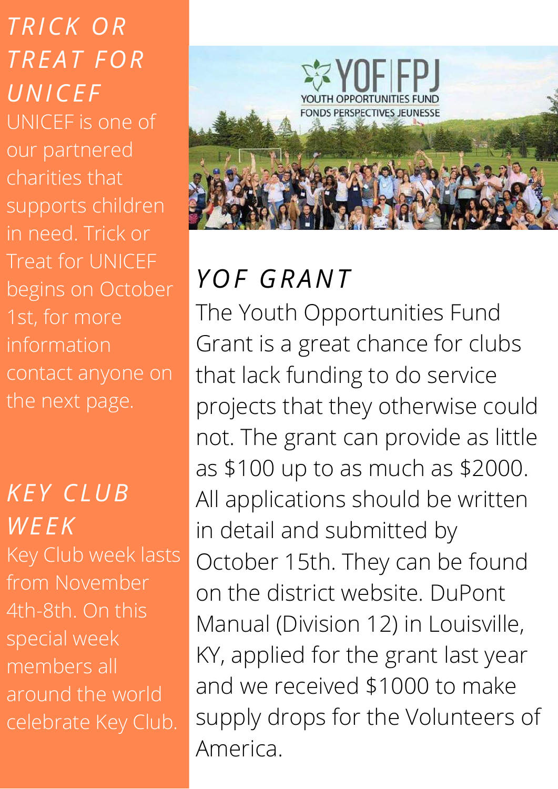*TRICK OR TREAT FOR UNICE F* UNICEF is one of our partnered charities that supports children in need. Trick or Treat for UNICEF begins on October 1st, for more information contact anyone on the next page.

#### *KE Y CLUB WE EK* Key Club week lasts from November 4th-8th. On this special week members all around the world celebrate Key Club.



# *YOF GRANT*

The Youth Opportunities Fund Grant is a great chance for clubs that lack funding to do service projects that they otherwise could not. The grant can provide as little as \$100 up to as much as \$2000. All applications should be written in detail and submitted by October 15th. They can be found on the district website. DuPont Manual (Division 12) in Louisville, KY, applied for the grant last year and we received \$1000 to make supply drops for the Volunteers of America.